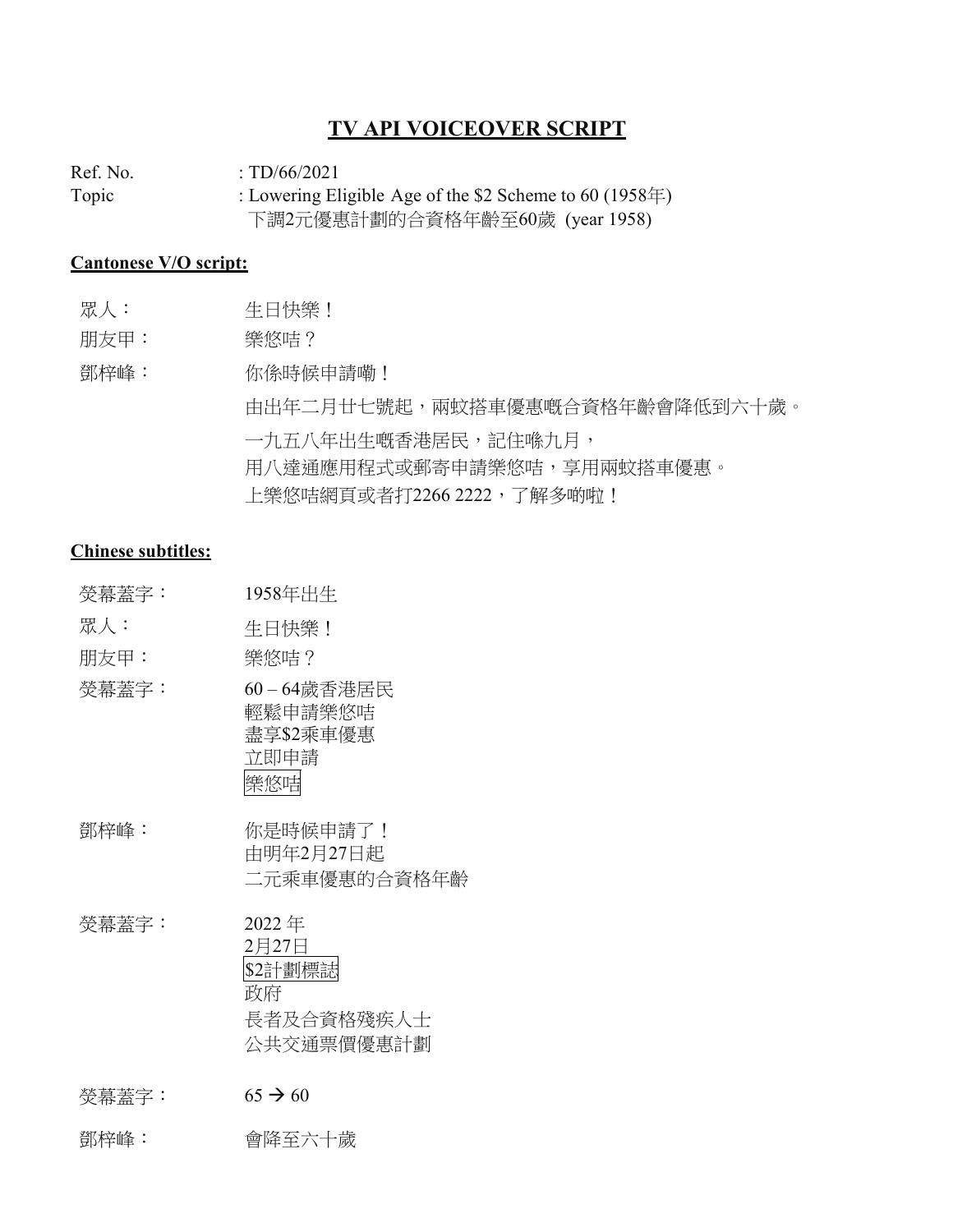### **TV API VOICEOVER SCRIPT**

Ref. No. : TD/66/2021 Topic : Lowering Eligible Age of the \$2 Scheme to 60 (1958年) 下調2元優惠計劃的合資格年齡至60歲 (year 1958)

#### **Cantonese V/O script:**

| 眾人 | 生日快樂! |
|----|-------|

朋友甲: 樂悠咭?

鄧梓峰: 你係時候申請嘞! 由出年二月廿七號起,兩蚊搭車優惠嘅合資格年齡會降低到六十歲。

一九五八年出生嘅香港居民,記住喺九月, 用八達通應用程式或郵寄申請樂悠咭,享用兩蚊搭車優惠。 上樂悠咭網頁或者打2266 2222,了解多啲啦!

#### **Chinese subtitles:**

眾人: 生日快樂!

朋友甲: 樂悠咭?

- 熒幕蓋字: 60 64歲香港居民 輕鬆申請樂悠咭 盡享\$2乘車優惠 立即申請 樂悠咭
- 鄧梓峰: 你是時候申請了! 由明年2月27日起 二元乘車優惠的合資格年齡

熒幕蓋字: 2022 年 2月27日 \$2計劃標誌 政府 長者及合資格殘疾人士 公共交通票價優惠計劃

 $\frac{1}{2}$   $\frac{1}{2}$   $\frac{1}{2}$   $\frac{1}{2}$   $\frac{1}{2}$   $\frac{1}{2}$   $\frac{1}{2}$   $\frac{1}{2}$   $\frac{1}{2}$   $\frac{1}{2}$   $\frac{1}{2}$   $\frac{1}{2}$   $\frac{1}{2}$   $\frac{1}{2}$   $\frac{1}{2}$   $\frac{1}{2}$   $\frac{1}{2}$   $\frac{1}{2}$   $\frac{1}{2}$   $\frac{1}{2}$   $\frac{1}{2}$   $\frac{1}{$ 

鄧梓峰: 會降至六十歲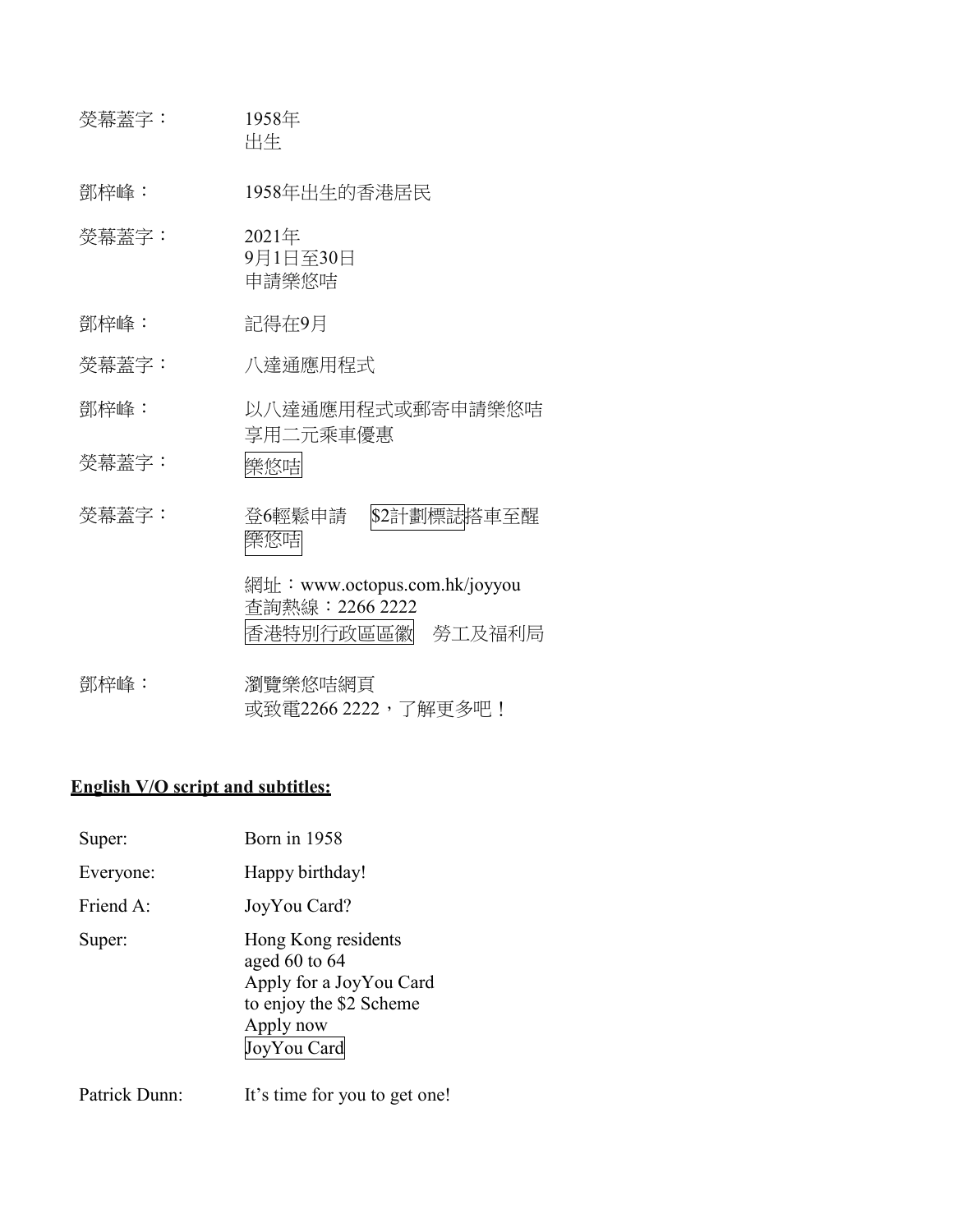| 熒幕蓋字: | 1958年<br>出生                                                            |
|-------|------------------------------------------------------------------------|
| 鄧梓峰:  | 1958年出生的香港居民                                                           |
| 熒幕蓋字: | 2021年<br>9月1日至30日<br>申請樂悠咭                                             |
| 鄧梓峰:  | 記得在9月                                                                  |
| 熒幕蓋字: | 八達通應用程式                                                                |
| 鄧梓峰:  | 以八達通應用程式或郵寄申請樂悠咭<br>享用二元乘車優惠                                           |
| 熒幕蓋字: | 樂悠咭                                                                    |
| 熒幕蓋字: | \$2計劃標誌搭車至醒<br>登6輕鬆申請<br>籞悠喵                                           |
|       | 網址:www.octopus.com.hk/joyyou<br>查詢熱線: 2266 2222<br>香港特別行政區區徽<br>勞工及福利局 |
| 鄧梓峰:  | 瀏覽樂悠咭網頁                                                                |

# 或致電2266 2222,了解更多吧!

## **English V/O script and subtitles:**

| Super:    | Born in 1958                                                                                                               |
|-----------|----------------------------------------------------------------------------------------------------------------------------|
| Everyone: | Happy birthday!                                                                                                            |
| Friend A: | JoyYou Card?                                                                                                               |
| Super:    | Hong Kong residents<br>aged $60$ to $64$<br>Apply for a JoyYou Card<br>to enjoy the \$2 Scheme<br>Apply now<br>JoyYou Card |

Patrick Dunn: It's time for you to get one!